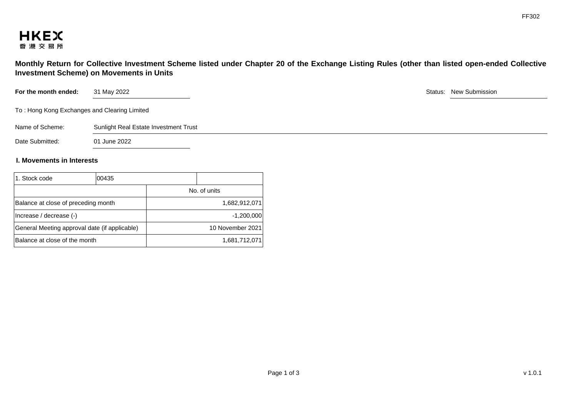

**Monthly Return for Collective Investment Scheme listed under Chapter 20 of the Exchange Listing Rules (other than listed open-ended Collective Investment Scheme) on Movements in Units** 

| For the month ended:                         | 31 May 2022                           |  | Status: New Submission |
|----------------------------------------------|---------------------------------------|--|------------------------|
| To: Hong Kong Exchanges and Clearing Limited |                                       |  |                        |
| Name of Scheme:                              | Sunlight Real Estate Investment Trust |  |                        |
| Date Submitted:                              | 01 June 2022                          |  |                        |
|                                              |                                       |  |                        |

## **I. Movements in Interests**

| 1. Stock code                                 | 100435 |                  |               |
|-----------------------------------------------|--------|------------------|---------------|
|                                               |        | No. of units     |               |
| Balance at close of preceding month           |        | 1,682,912,071    |               |
| (Increase / decrease (-)                      |        | $-1,200,000$     |               |
| General Meeting approval date (if applicable) |        | 10 November 2021 |               |
| Balance at close of the month                 |        |                  | 1,681,712,071 |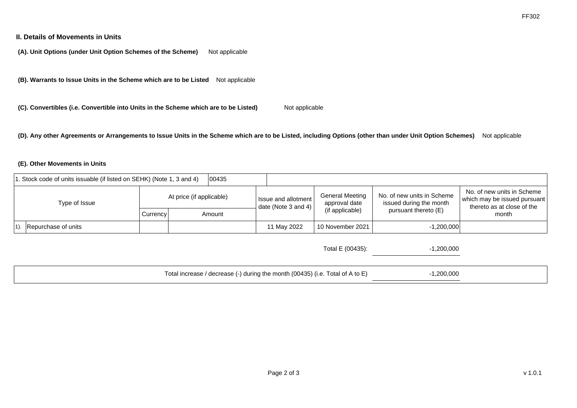### **II. Details of Movements in Units**

**(A). Unit Options (under Unit Option Schemes of the Scheme)** Not applicable

**(B). Warrants to Issue Units in the Scheme which are to be Listed** Not applicable

**(C). Convertibles (i.e. Convertible into Units in the Scheme which are to be Listed)** Not applicable

**(D). Any other Agreements or Arrangements to Issue Units in the Scheme which are to be Listed, including Options (other than under Unit Option Schemes)** Not applicable

#### **(E). Other Movements in Units**

| 1. Stock code of units issuable (if listed on SEHK) (Note 1, 3 and 4) |                     |                          | 100435 |                                                         |                                         |                                                       |                                                                                          |       |
|-----------------------------------------------------------------------|---------------------|--------------------------|--------|---------------------------------------------------------|-----------------------------------------|-------------------------------------------------------|------------------------------------------------------------------------------------------|-------|
| Type of Issue                                                         |                     | At price (if applicable) |        | I Issue and allotment I<br>I date (Note 3 and 4) $\mid$ | <b>General Meeting</b><br>approval date | No. of new units in Scheme<br>issued during the month | No. of new units in Scheme<br>which may be issued pursuant<br>thereto as at close of the |       |
|                                                                       |                     | Currency                 |        | Amount                                                  |                                         | (if applicable)                                       | pursuant thereto (E)                                                                     | month |
|                                                                       | Repurchase of units |                          |        |                                                         | 11 May 2022                             | 10 November 2021                                      | $-1,200,000$                                                                             |       |

| Total increase / decrease (-) during the month (00435) (i.e. Total of A to E) | 1,200,000 |  |
|-------------------------------------------------------------------------------|-----------|--|
|                                                                               |           |  |